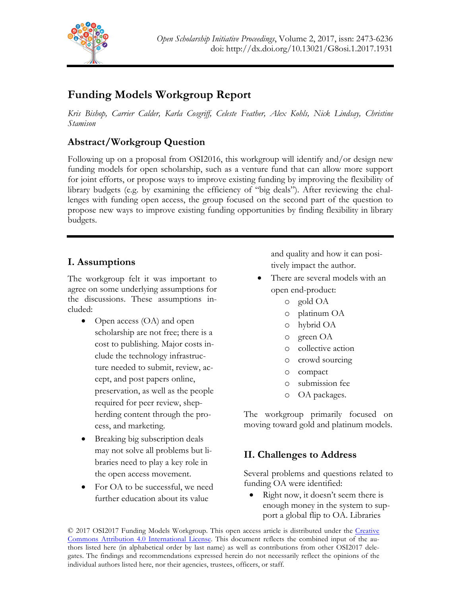

# **Funding Models Workgroup Report**

*Kris Bishop, Carrier Calder, Karla Cosgriff, Celeste Feather, Alex Kohls, Nick Lindsay, Christine Stamison*

## **Abstract/Workgroup Question**

Following up on a proposal from OSI2016, this workgroup will identify and/or design new funding models for open scholarship, such as a venture fund that can allow more support for joint efforts, or propose ways to improve existing funding by improving the flexibility of library budgets (e.g. by examining the efficiency of "big deals"). After reviewing the challenges with funding open access, the group focused on the second part of the question to propose new ways to improve existing funding opportunities by finding flexibility in library budgets.

## **I. Assumptions**

The workgroup felt it was important to agree on some underlying assumptions for the discussions. These assumptions included:

- Open access (OA) and open scholarship are not free; there is a cost to publishing. Major costs include the technology infrastructure needed to submit, review, accept, and post papers online, preservation, as well as the people required for peer review, shepherding content through the process, and marketing.
- Breaking big subscription deals may not solve all problems but libraries need to play a key role in the open access movement.
- For OA to be successful, we need further education about its value

and quality and how it can positively impact the author.

- There are several models with an open end-product:
	- o gold OA
	- o platinum OA
	- o hybrid OA
	- o green OA
	- o collective action
	- o crowd sourcing
	- o compact
	- o submission fee
	- o OA packages.

The workgroup primarily focused on moving toward gold and platinum models.

## **II. Challenges to Address**

Several problems and questions related to funding OA were identified:

Right now, it doesn't seem there is enough money in the system to support a global flip to OA. Libraries

© 2017 OSI2017 Funding Models Workgroup. This open access article is distributed under the Creative Commons Attribution 4.0 International License. This document reflects the combined input of the authors listed here (in alphabetical order by last name) as well as contributions from other OSI2017 delegates. The findings and recommendations expressed herein do not necessarily reflect the opinions of the individual authors listed here, nor their agencies, trustees, officers, or staff.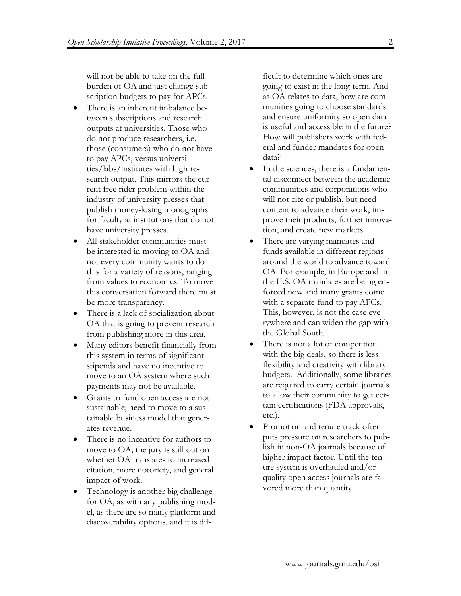will not be able to take on the full burden of OA and just change subscription budgets to pay for APCs.

- There is an inherent imbalance between subscriptions and research outputs at universities. Those who do not produce researchers, i.e. those (consumers) who do not have to pay APCs, versus universities/labs/institutes with high research output. This mirrors the current free rider problem within the industry of university presses that publish money-losing monographs for faculty at institutions that do not have university presses.
- All stakeholder communities must be interested in moving to OA and not every community wants to do this for a variety of reasons, ranging from values to economics. To move this conversation forward there must be more transparency.
- There is a lack of socialization about OA that is going to prevent research from publishing more in this area.
- Many editors benefit financially from this system in terms of significant stipends and have no incentive to move to an OA system where such payments may not be available.
- Grants to fund open access are not sustainable; need to move to a sustainable business model that generates revenue.
- There is no incentive for authors to move to OA; the jury is still out on whether OA translates to increased citation, more notoriety, and general impact of work.
- Technology is another big challenge for OA, as with any publishing model, as there are so many platform and discoverability options, and it is dif-

ficult to determine which ones are going to exist in the long-term. And as OA relates to data, how are communities going to choose standards and ensure uniformity so open data is useful and accessible in the future? How will publishers work with federal and funder mandates for open data?

- In the sciences, there is a fundamental disconnect between the academic communities and corporations who will not cite or publish, but need content to advance their work, improve their products, further innovation, and create new markets.
- There are varying mandates and funds available in different regions around the world to advance toward OA. For example, in Europe and in the U.S. OA mandates are being enforced now and many grants come with a separate fund to pay APCs. This, however, is not the case everywhere and can widen the gap with the Global South.
- There is not a lot of competition with the big deals, so there is less flexibility and creativity with library budgets. Additionally, some libraries are required to carry certain journals to allow their community to get certain certifications (FDA approvals, etc.).
- Promotion and tenure track often puts pressure on researchers to publish in non-OA journals because of higher impact factor. Until the tenure system is overhauled and/or quality open access journals are favored more than quantity.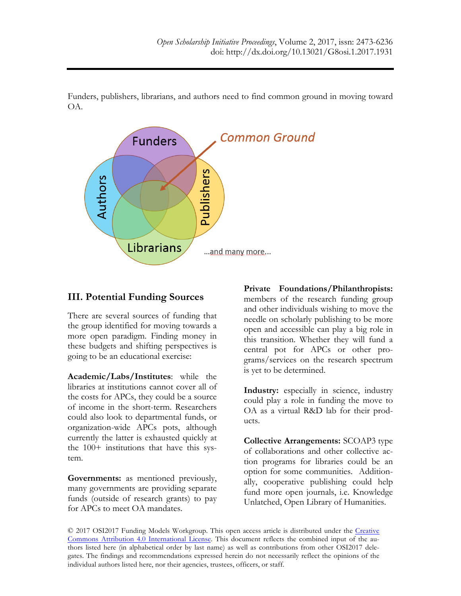Funders, publishers, librarians, and authors need to find common ground in moving toward OA.



### **III. Potential Funding Sources**

There are several sources of funding that the group identified for moving towards a more open paradigm. Finding money in these budgets and shifting perspectives is going to be an educational exercise:

**Academic/Labs/Institutes**: while the libraries at institutions cannot cover all of the costs for APCs, they could be a source of income in the short-term. Researchers could also look to departmental funds, or organization-wide APCs pots, although currently the latter is exhausted quickly at the 100+ institutions that have this system.

**Governments:** as mentioned previously, many governments are providing separate funds (outside of research grants) to pay for APCs to meet OA mandates.

**Private Foundations/Philanthropists:**  members of the research funding group and other individuals wishing to move the needle on scholarly publishing to be more open and accessible can play a big role in this transition. Whether they will fund a central pot for APCs or other programs/services on the research spectrum is yet to be determined.

**Industry:** especially in science, industry could play a role in funding the move to OA as a virtual R&D lab for their products.

**Collective Arrangements:** SCOAP3 type of collaborations and other collective action programs for libraries could be an option for some communities. Additionally, cooperative publishing could help fund more open journals, i.e. Knowledge Unlatched, Open Library of Humanities.

© 2017 OSI2017 Funding Models Workgroup. This open access article is distributed under the Creative Commons Attribution 4.0 International License. This document reflects the combined input of the authors listed here (in alphabetical order by last name) as well as contributions from other OSI2017 delegates. The findings and recommendations expressed herein do not necessarily reflect the opinions of the individual authors listed here, nor their agencies, trustees, officers, or staff.